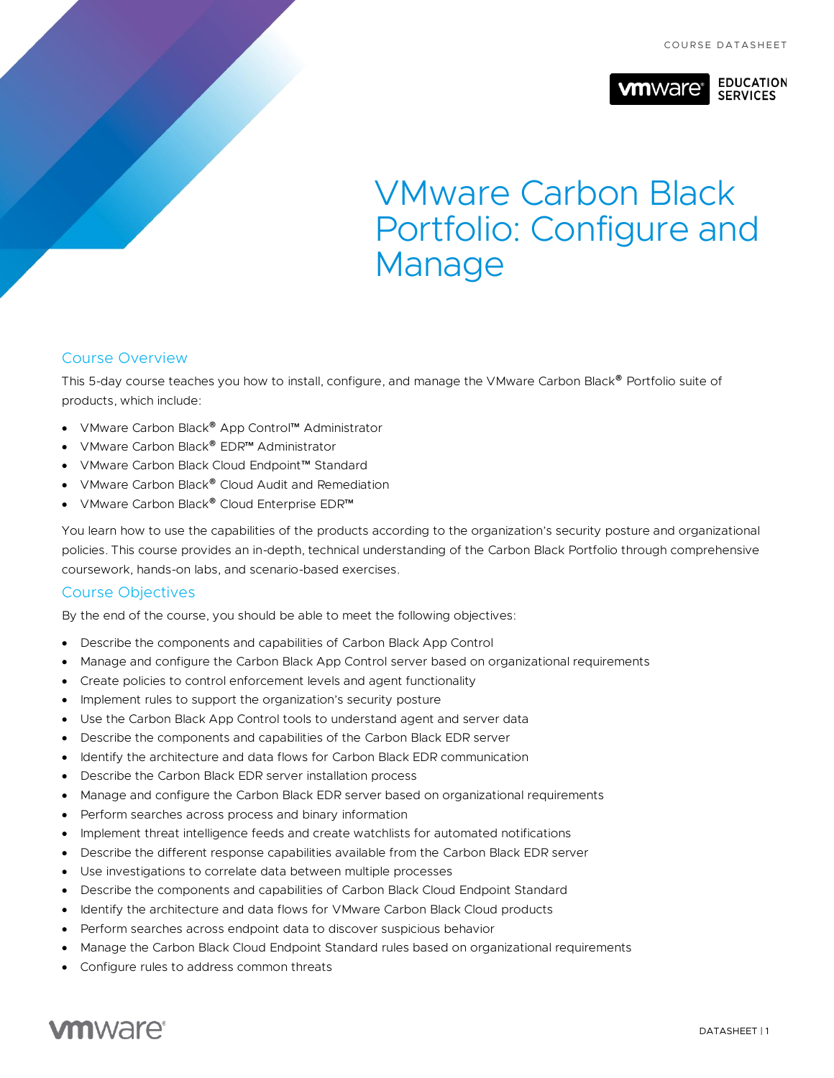

# VMware Carbon Black Portfolio: Configure and Manage

# Course Overview

This 5-day course teaches you how to install, configure, and manage the VMware Carbon Black® Portfolio suite of products, which include:

- VMware Carbon Black® App Control™ Administrator
- VMware Carbon Black® EDR™ Administrator
- VMware Carbon Black Cloud Endpoint™ Standard
- VMware Carbon Black® Cloud Audit and Remediation
- VMware Carbon Black® Cloud Enterprise EDR™

You learn how to use the capabilities of the products according to the organization's security posture and organizational policies. This course provides an in-depth, technical understanding of the Carbon Black Portfolio through comprehensive coursework, hands-on labs, and scenario-based exercises.

#### Course Objectives

By the end of the course, you should be able to meet the following objectives:

- Describe the components and capabilities of Carbon Black App Control
- Manage and configure the Carbon Black App Control server based on organizational requirements
- Create policies to control enforcement levels and agent functionality
- Implement rules to support the organization's security posture
- Use the Carbon Black App Control tools to understand agent and server data
- Describe the components and capabilities of the Carbon Black EDR server
- Identify the architecture and data flows for Carbon Black EDR communication
- Describe the Carbon Black EDR server installation process
- Manage and configure the Carbon Black EDR server based on organizational requirements
- Perform searches across process and binary information
- Implement threat intelligence feeds and create watchlists for automated notifications
- Describe the different response capabilities available from the Carbon Black EDR server
- Use investigations to correlate data between multiple processes
- Describe the components and capabilities of Carbon Black Cloud Endpoint Standard
- Identify the architecture and data flows for VMware Carbon Black Cloud products
- Perform searches across endpoint data to discover suspicious behavior
- Manage the Carbon Black Cloud Endpoint Standard rules based on organizational requirements
- Configure rules to address common threats

# **vm**ware<sup>®</sup>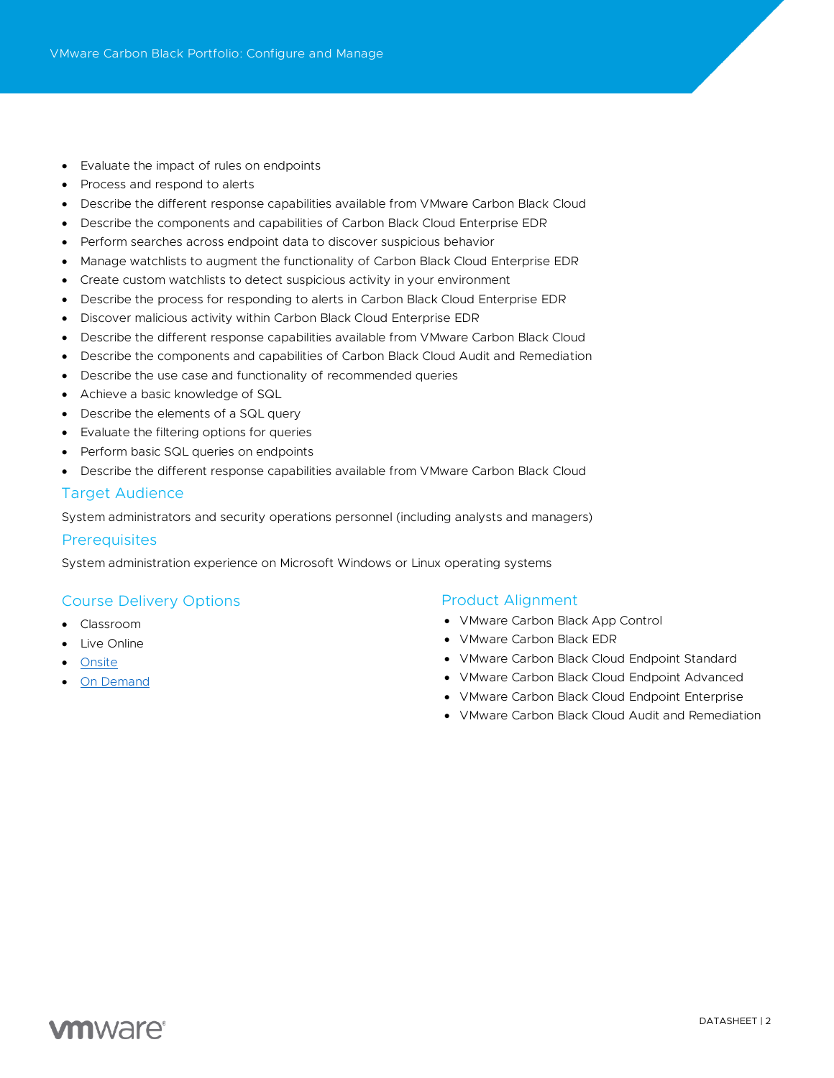- Evaluate the impact of rules on endpoints
- Process and respond to alerts
- Describe the different response capabilities available from VMware Carbon Black Cloud
- Describe the components and capabilities of Carbon Black Cloud Enterprise EDR
- Perform searches across endpoint data to discover suspicious behavior
- Manage watchlists to augment the functionality of Carbon Black Cloud Enterprise EDR
- Create custom watchlists to detect suspicious activity in your environment
- Describe the process for responding to alerts in Carbon Black Cloud Enterprise EDR
- Discover malicious activity within Carbon Black Cloud Enterprise EDR
- Describe the different response capabilities available from VMware Carbon Black Cloud
- Describe the components and capabilities of Carbon Black Cloud Audit and Remediation
- Describe the use case and functionality of recommended queries
- Achieve a basic knowledge of SQL
- Describe the elements of a SQL query
- Evaluate the filtering options for queries
- Perform basic SQL queries on endpoints
- Describe the different response capabilities available from VMware Carbon Black Cloud

# Target Audience

System administrators and security operations personnel (including analysts and managers)

#### **Prerequisites**

System administration experience on Microsoft Windows or Linux operating systems

# Course Delivery Options

- Classroom
- **Live Online**
- [Onsite](https://mylearn.vmware.com/mgrReg/plan.cfm?plan=38045&ui=www_edu)
- [On Demand](https://mylearn.vmware.com/mgrReg/plan.cfm?plan=39210&ui=www_edu)

#### Product Alignment

- VMware Carbon Black App Control
- VMware Carbon Black EDR
- VMware Carbon Black Cloud Endpoint Standard
- VMware Carbon Black Cloud Endpoint Advanced
- VMware Carbon Black Cloud Endpoint Enterprise
- VMware Carbon Black Cloud Audit and Remediation